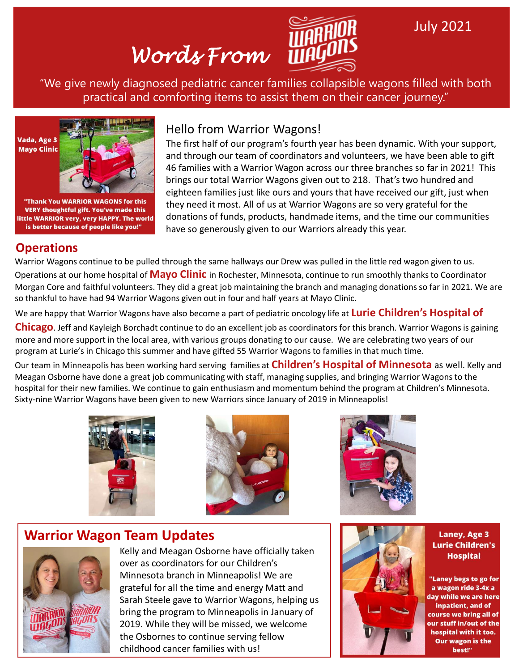# *Words From*



# July 2021

"We give newly diagnosed pediatric cancer families collapsible wagons filled with both practical and comforting items to assist them on their cancer journey."



"Thank You WARRIOR WAGONS for this **VERY thoughtful gift. You've made this** little WARRIOR very, very HAPPY. The world is better because of people like you!"

# Hello from Warrior Wagons!

The first half of our program's fourth year has been dynamic. With your support, and through our team of coordinators and volunteers, we have been able to gift 46 families with a Warrior Wagon across our three branches so far in 2021! This brings our total Warrior Wagons given out to 218. That's two hundred and eighteen families just like ours and yours that have received our gift, just when they need it most. All of us at Warrior Wagons are so very grateful for the donations of funds, products, handmade items, and the time our communities have so generously given to our Warriors already this year.

# **Operations**

Warrior Wagons continue to be pulled through the same hallways our Drew was pulled in the little red wagon given to us.

Operations at our home hospital of **Mayo Clinic** in Rochester, Minnesota, continue to run smoothly thanks to Coordinator Morgan Core and faithful volunteers. They did a great job maintaining the branch and managing donations so far in 2021. We are so thankful to have had 94 Warrior Wagons given out in four and half years at Mayo Clinic.

We are happy that Warrior Wagons have also become a part of pediatric oncology life at **Lurie Children's Hospital of** 

**Chicago**. Jeff and Kayleigh Borchadt continue to do an excellent job as coordinators for this branch. Warrior Wagons is gaining more and more support in the local area, with various groups donating to our cause. We are celebrating two years of our program at Lurie's in Chicago this summer and have gifted 55 Warrior Wagons to families in that much time.

Our team in Minneapolis has been working hard serving families at **Children's Hospital of Minnesota** as well. Kelly and Meagan Osborne have done a great job communicating with staff, managing supplies, and bringing Warrior Wagons to the hospital for their new families. We continue to gain enthusiasm and momentum behind the program at Children's Minnesota. Sixty-nine Warrior Wagons have been given to new Warriors since January of 2019 in Minneapolis!







# **Warrior Wagon Team Updates**



Kelly and Meagan Osborne have officially taken over as coordinators for our Children's Minnesota branch in Minneapolis! We are grateful for all the time and energy Matt and Sarah Steele gave to Warrior Wagons, helping us bring the program to Minneapolis in January of 2019. While they will be missed, we welcome the Osbornes to continue serving fellow childhood cancer families with us!



#### Laney, Age 3 **Lurie Children's Hospital**

"Laney begs to go for a wagon ride 3-4x a day while we are here inpatient, and of course we bring all of our stuff in/out of the hospital with it too. **Our wagon is the** best!"